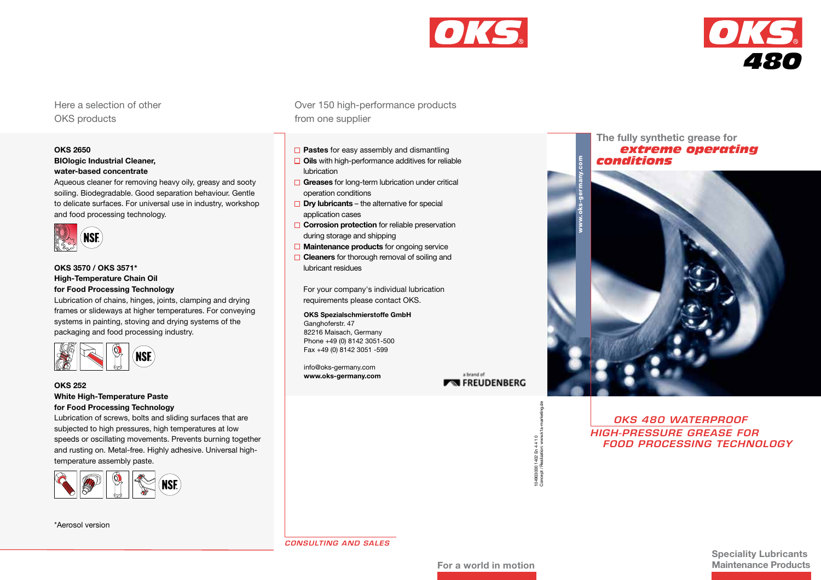



Here a selection of other OKS products

# **OKS 2650**

# **BIOlogic Industrial Cleaner, water-based concentrate**

Aqueous cleaner for removing heavy oily, greasy and sooty soiling. Biodegradable. Good separation behaviour. Gentle to delicate surfaces. For universal use in industry, workshop and food processing technology.



# **OKS 3570 / OKS 3571\* High-Temperature Chain Oil for Food Processing Technology**

Lubrication of chains, hinges, joints, clamping and drying frames or slideways at higher temperatures. For conveying systems in painting, stoving and drying systems of the packaging and food processing industry.



# **OKS 252**

**White High-Temperature Paste for Food Processing Technology**

Lubrication of screws, bolts and sliding surfaces that are subjected to high pressures, high temperatures at low speeds or oscillating movements. Prevents burning together and rusting on. Metal-free. Highly adhesive. Universal hightemperature assembly paste.



\*Aerosol version

Over 150 high-performance products from one supplier

- **Pastes** for easy assembly and dismantling
- **Oils** with high-performance additives for reliable lubrication
- **Greases** for long-term lubrication under critical operation conditions
- **Dry lubricants**  the alternative for special application cases
- **Corrosion protection** for reliable preservation during storage and shipping
- **Maintenance products** for ongoing service
- **Cleaners** for thorough removal of soiling and lubricant residues

 For your company's individual lubrication requirements please contact OKS.

# **OKS Spezialschmierstoffe GmbH**

Ganghoferstr, 47 82216 Maisach, Germany Phone +49 (0) 8142 3051-500 Fax +49 (0) 8142 3051 -599

info@oks-germany.com **www.oks-germany.com**

a brand of **FREUDENBERG** 

> 104903000 1402 En 4 4 1 0 Concept / Realization: www.k1a-marketing.de

104903000 1402 E<br>Concept / Realizat

En 4 4 1 0<br>ation: www.l

# **The fully synthetic grease for**  *extreme operating conditions*



*OKS 480 Waterproof High-Pressure Grease for Food Processing Technology*

*Consulting and sales*

**Speciality Lubricants Maintenance Products**